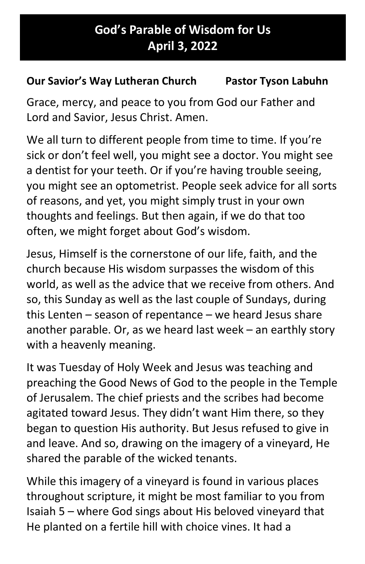## God's Parable of Wisdom for Us April 3, 2022

## Our Savior's Way Lutheran Church Pastor Tyson Labuhn

Grace, mercy, and peace to you from God our Father and Lord and Savior, Jesus Christ. Amen.

We all turn to different people from time to time. If you're sick or don't feel well, you might see a doctor. You might see a dentist for your teeth. Or if you're having trouble seeing, you might see an optometrist. People seek advice for all sorts of reasons, and yet, you might simply trust in your own thoughts and feelings. But then again, if we do that too often, we might forget about God's wisdom.

Jesus, Himself is the cornerstone of our life, faith, and the church because His wisdom surpasses the wisdom of this world, as well as the advice that we receive from others. And so, this Sunday as well as the last couple of Sundays, during this Lenten – season of repentance – we heard Jesus share another parable. Or, as we heard last week – an earthly story with a heavenly meaning.

It was Tuesday of Holy Week and Jesus was teaching and preaching the Good News of God to the people in the Temple of Jerusalem. The chief priests and the scribes had become agitated toward Jesus. They didn't want Him there, so they began to question His authority. But Jesus refused to give in and leave. And so, drawing on the imagery of a vineyard, He shared the parable of the wicked tenants.

While this imagery of a vineyard is found in various places throughout scripture, it might be most familiar to you from Isaiah 5 – where God sings about His beloved vineyard that He planted on a fertile hill with choice vines. It had a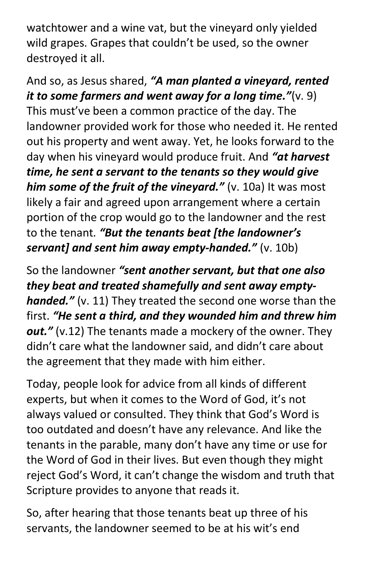watchtower and a wine vat, but the vineyard only yielded wild grapes. Grapes that couldn't be used, so the owner destroyed it all.

And so, as Jesus shared, "A man planted a vineyard, rented it to some farmers and went away for a long time." $(v. 9)$ This must've been a common practice of the day. The landowner provided work for those who needed it. He rented out his property and went away. Yet, he looks forward to the day when his vineyard would produce fruit. And "at harvest time, he sent a servant to the tenants so they would give him some of the fruit of the vineyard."  $(v. 10a)$  It was most likely a fair and agreed upon arrangement where a certain portion of the crop would go to the landowner and the rest to the tenant. "But the tenants beat [the landowner's servant] and sent him away empty-handed."  $(v. 10b)$ 

So the landowner "sent another servant, but that one also they beat and treated shamefully and sent away emptyhanded." (v. 11) They treated the second one worse than the first. "He sent a third, and they wounded him and threw him out."  $(v.12)$  The tenants made a mockery of the owner. They didn't care what the landowner said, and didn't care about the agreement that they made with him either.

Today, people look for advice from all kinds of different experts, but when it comes to the Word of God, it's not always valued or consulted. They think that God's Word is too outdated and doesn't have any relevance. And like the tenants in the parable, many don't have any time or use for the Word of God in their lives. But even though they might reject God's Word, it can't change the wisdom and truth that Scripture provides to anyone that reads it.

So, after hearing that those tenants beat up three of his servants, the landowner seemed to be at his wit's end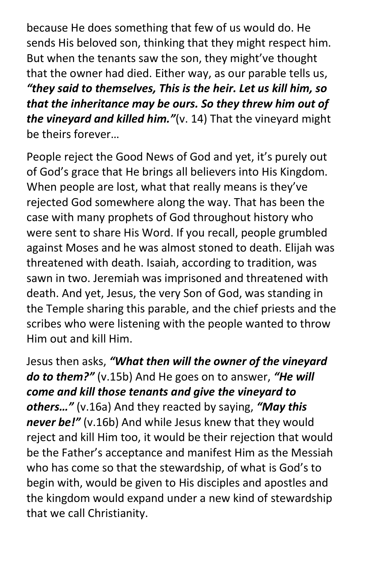because He does something that few of us would do. He sends His beloved son, thinking that they might respect him. But when the tenants saw the son, they might've thought that the owner had died. Either way, as our parable tells us, "they said to themselves, This is the heir. Let us kill him, so that the inheritance may be ours. So they threw him out of the vineyard and killed him." $(v. 14)$  That the vineyard might be theirs forever…

People reject the Good News of God and yet, it's purely out of God's grace that He brings all believers into His Kingdom. When people are lost, what that really means is they've rejected God somewhere along the way. That has been the case with many prophets of God throughout history who were sent to share His Word. If you recall, people grumbled against Moses and he was almost stoned to death. Elijah was threatened with death. Isaiah, according to tradition, was sawn in two. Jeremiah was imprisoned and threatened with death. And yet, Jesus, the very Son of God, was standing in the Temple sharing this parable, and the chief priests and the scribes who were listening with the people wanted to throw Him out and kill Him.

Jesus then asks, "What then will the owner of the vineyard **do to them?"** (v.15b) And He goes on to answer, "**He will** come and kill those tenants and give the vineyard to others..." (v.16a) And they reacted by saying, "May this never be!" (v.16b) And while Jesus knew that they would reject and kill Him too, it would be their rejection that would be the Father's acceptance and manifest Him as the Messiah who has come so that the stewardship, of what is God's to begin with, would be given to His disciples and apostles and the kingdom would expand under a new kind of stewardship that we call Christianity.